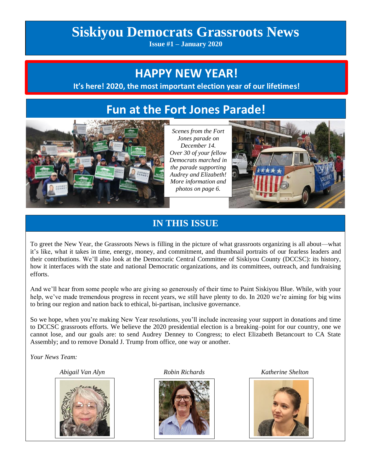# **Siskiyou Democrats Grassroots News**

**Issue #1 – January 2020**

## **HAPPY NEW YEAR!**

 **It's here! 2020, the most important election year of our lifetimes!**

## **Fun at the Fort Jones Parade!**



*Scenes from the Fort Jones parade on December 14. Over 30 of your fellow Democrats marched in the parade supporting Audrey and Elizabeth! More information and photos on page 6.*



### **IN THIS ISSUE**

To greet the New Year, the Grassroots News is filling in the picture of what grassroots organizing is all about—what it's like, what it takes in time, energy, money, and commitment, and thumbnail portraits of our fearless leaders and their contributions. We'll also look at the Democratic Central Committee of Siskiyou County (DCCSC): its history, how it interfaces with the state and national Democratic organizations, and its committees, outreach, and fundraising efforts.

And we'll hear from some people who are giving so generously of their time to Paint Siskiyou Blue. While, with your help, we've made tremendous progress in recent years, we still have plenty to do. In 2020 we're aiming for big wins to bring our region and nation back to ethical, bi-partisan, inclusive governance.

So we hope, when you're making New Year resolutions, you'll include increasing your support in donations and time to DCCSC grassroots efforts. We believe the 2020 presidential election is a breaking–point for our country, one we cannot lose, and our goals are: to send Audrey Denney to Congress; to elect Elizabeth Betancourt to CA State Assembly; and to remove Donald J. Trump from office, one way or another.

*Your News Team:*





 *Abigail Van Alyn Robin Richards Katherine Shelton* 

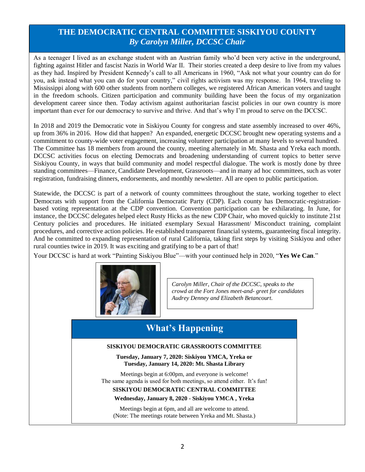#### **THE DEMOCRATIC CENTRAL COMMITTEE SISKIYOU COUNTY** *By Carolyn Miller, DCCSC Chair*

As a teenager I lived as an exchange student with an Austrian family who'd been very active in the underground, fighting against Hitler and fascist Nazis in World War II. Their stories created a deep desire to live from my values as they had. Inspired by President Kennedy's call to all Americans in 1960, "Ask not what your country can do for you, ask instead what you can do for your country," civil rights activism was my response. In 1964, traveling to Mississippi along with 600 other students from northern colleges, we registered African American voters and taught in the freedom schools. Citizen participation and community building have been the focus of my organization development career since then. Today activism against authoritarian fascist policies in our own country is more important than ever for our democracy to survive and thrive. And that's why I'm proud to serve on the DCCSC.

In 2018 and 2019 the Democratic vote in Siskiyou County for congress and state assembly increased to over 46%, up from 36% in 2016. How did that happen? An expanded, energetic DCCSC brought new operating systems and a commitment to county-wide voter engagement, increasing volunteer participation at many levels to several hundred. The Committee has 18 members from around the county, meeting alternately in Mt. Shasta and Yreka each month. DCCSC activities focus on electing Democrats and broadening understanding of current topics to better serve Siskiyou County, in ways that build community and model respectful dialogue. The work is mostly done by three standing committees—Finance, Candidate Development, Grassroots—and in many ad hoc committees, such as voter registration, fundraising dinners, endorsements, and monthly newsletter. All are open to public participation.

Statewide, the DCCSC is part of a network of county committees throughout the state, working together to elect Democrats with support from the California Democratic Party (CDP). Each county has Democratic-registrationbased voting representation at the CDP convention. Convention participation can be exhilarating. In June, for instance, the DCCSC delegates helped elect Rusty Hicks as the new CDP Chair, who moved quickly to institute 21st Century policies and procedures. He initiated exemplary Sexual Harassment/ Misconduct training, complaint procedures, and corrective action policies. He established transparent financial systems, guaranteeing fiscal integrity. And he committed to expanding representation of rural California, taking first steps by visiting Siskiyou and other rural counties twice in 2019. It was exciting and gratifying to be a part of that!

Your DCCSC is hard at work "Painting Siskiyou Blue"—with your continued help in 2020, "**Yes We Can**."



*Carolyn Miller, Chair of the DCCSC, speaks to the crowd at the Fort Jones meet-and- greet for candidates Audrey Denney and Elizabeth Betancourt.*

### **What's Happening**

#### **SISKIYOU DEMOCRATIC GRASSROOTS COMMITTEE**

**Tuesday, January 7, 2020: Siskiyou YMCA, Yreka or Tuesday, January 14, 2020: Mt. Shasta Library**

Meetings begin at 6:00pm, and everyone is welcome! The same agenda is used for both meetings, so attend either. It's fun!

#### **SISKIYOU DEMOCRATIC CENTRAL COMMITTEE**

#### **Wednesday, January 8, 2020 - Siskiyou YMCA , Yreka**

Meetings begin at 6pm, and all are welcome to attend. (Note: The meetings rotate between Yreka and Mt. Shasta.)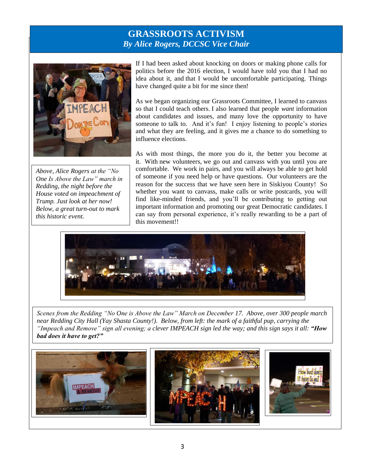### **GRASSROOTS ACTIVISM** *By Alice Rogers, DCCSC Vice Chair*



*Above, Alice Rogers at the "No One Is Above the Law" march in Redding, the night before the House voted on impeachment of Trump. Just look at her now! Below, a great turn-out to mark this historic event.*

If I had been asked about knocking on doors or making phone calls for politics before the 2016 election, I would have told you that I had no idea about it, and that I would be uncomfortable participating. Things have changed quite a bit for me since then!

As we began organizing our Grassroots Committee, I learned to canvass so that I could teach others. I also learned that people *want* information about candidates and issues, and many love the opportunity to have someone to talk to. And it's fun! I enjoy listening to people's stories and what they are feeling, and it gives me a chance to do something to influence elections.

As with most things, the more you do it, the better you become at it. With new volunteers, we go out and canvass with you until you are comfortable. We work in pairs, and you will always be able to get hold of someone if you need help or have questions. Our volunteers are the reason for the success that we have seen here in Siskiyou County! So whether you want to canvass, make calls or write postcards, you will find like-minded friends, and you'll be contributing to getting out important information and promoting our great Democratic candidates. I can say from personal experience, it's really rewarding to be a part of this movement!!



*Scenes from the Redding "No One is Above the Law" March on December 17. Above, over 300 people march near Redding City Hall (Yay Shasta County!). Below, from left: the mark of a faithful pup, carrying the "Impeach and Remove" sign all evening; a clever IMPEACH sign led the way; and this sign says it all: "How bad does it have to get?"*

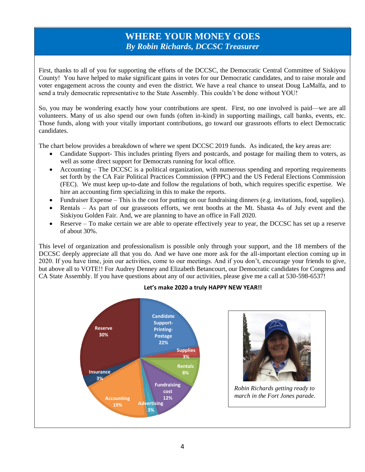#### **WHERE YOUR MONEY GOES** *By Robin Richards, DCCSC Treasurer*

First, thanks to all of you for supporting the efforts of the DCCSC, the Democratic Central Committee of Siskiyou County! You have helped to make significant gains in votes for our Democratic candidates, and to raise morale and voter engagement across the county and even the district. We have a real chance to unseat Doug LaMalfa, and to send a truly democratic representative to the State Assembly. This couldn't be done without YOU!

So, you may be wondering exactly how your contributions are spent. First, no one involved is paid—we are all volunteers. Many of us also spend our own funds (often in-kind) in supporting mailings, call banks, events, etc. Those funds, along with your vitally important contributions, go toward our grassroots efforts to elect Democratic candidates.

The chart below provides a breakdown of where we spent DCCSC 2019 funds. As indicated, the key areas are:

- Candidate Support- This includes printing flyers and postcards, and postage for mailing them to voters, as well as some direct support for Democrats running for local office.
- Accounting The DCCSC is a political organization, with numerous spending and reporting requirements set forth by the CA Fair Political Practices Commission (FPPC) and the US Federal Elections Commission (FEC). We must keep up-to-date and follow the regulations of both, which requires specific expertise. We hire an accounting firm specializing in this to make the reports.
- Fundraiser Expense This is the cost for putting on our fundraising dinners (e.g. invitations, food, supplies).
- Rentals As part of our grassroots efforts, we rent booths at the Mt. Shasta  $4<sub>th</sub>$  of July event and the Siskiyou Golden Fair. And, we are planning to have an office in Fall 2020.
- Reserve To make certain we are able to operate effectively year to year, the DCCSC has set up a reserve of about 30%.

This level of organization and professionalism is possible only through your support, and the 18 members of the DCCSC deeply appreciate all that you do. And we have one more ask for the all-important election coming up in 2020. If you have time, join our activities, come to our meetings. And if you don't, encourage your friends to give, but above all to VOTE!! For Audrey Denney and Elizabeth Betancourt, our Democratic candidates for Congress and CA State Assembly. If you have questions about any of our activities, please give me a call at 530-598-6537!



#### **Let's make 2020 a truly HAPPY NEW YEAR!!**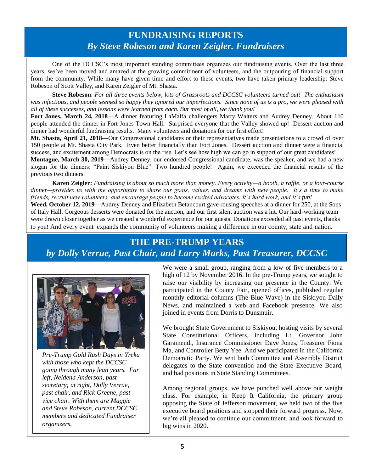### **FUNDRAISING REPORTS** *By Steve Robeson and Karen Zeigler. Fundraisers*

One of the DCCSC's most important standing committees organizes our fundraising events. Over the last three years, we've been moved and amazed at the growing commitment of volunteers, and the outpouring of financial support from the community. While many have given time and effort to these events, two have taken primary leadership: Steve Robeson of Scott Valley, and Karen Zeigler of Mt. Shasta.

**Steve Robeson**: *For all three events below, lots of Grassroots and DCCSC volunteers turned out! The enthusiasm was infectious, and people seemed so happy they ignored our imperfections. Since none of us is a pro, we were pleased with all of these successes, and lessons were learned from each. But most of all, we thank you!*

**Fort Jones, March 24, 2018—**A dinner featuring LaMalfa challengers Marty Walters and Audrey Denney. About 110 people attended the dinner in Fort Jones Town Hall. Surprised everyone that the Valley showed up! Dessert auction and dinner had wonderful fundraising results. Many volunteers and donations for our first effort!

**Mt. Shasta, April 21, 2018—**Our Congressional candidates or their representatives made presentations to a crowd of over 150 people at Mt. Shasta City Park. Even better financially than Fort Jones. Dessert auction and dinner were a financial success, and excitement among Democrats is on the rise. Let's see how high we can go in support of our great candidates!

**Montague, March 30, 2019—**Audrey Denney, our endorsed Congressional candidate, was the speaker, and we had a new slogan for the dinners: "Paint Siskiyou Blue". Two hundred people! Again, we exceeded the financial results of the previous two dinners.

**Karen Zeigler:** *Fundraising is about so much more than money. Every activity—a booth, a raffle, or a four-course dinner—provides us with the opportunity to share our goals, values, and dreams with new people. It's a time to make friends, recruit new volunteers, and encourage people to become excited advocates. It's hard work, and it's fun!*

**Weed, October 12, 2019—**Audrey Denney and Elizabeth Betancourt gave rousing speeches at a dinner for 250, at the Sons of Italy Hall. Gorgeous desserts were donated for the auction, and our first silent auction was a hit. Our hard-working team were drawn closer together as we created a wonderful experience for our guests. Donations exceeded all past events, thanks to you! And every event expands the community of volunteers making a difference in our county, state and nation.

## **THE PRE-TRUMP YEARS**

### *by Dolly Verrue, Past Chair, and Larry Marks, Past Treasurer, DCCSC*



*Pre-Trump Gold Rush Days in Yreka with those who kept the DCCSC going through many lean years. Far left, Neldena Anderson, past secretary; at right, Dolly Verrue, past chair, and Rick Greene, past vice chair. With them are Maggie and Steve Robeson, current DCCSC members and dedicated Fundraiser organizers.* 

We were a small group, ranging from a low of five members to a high of 12 by November 2016. In the pre-Trump years, we sought to raise our visibility by increasing our presence in the County. We participated in the County Fair, opened offices, published regular monthly editorial columns (The Blue Wave) in the Siskiyou Daily News, and maintained a web and Facebook presence. We also joined in events from Dorris to Dunsmuir.

We brought State Government to Siskiyou, hosting visits by several State Constitutional Officers, including Lt. Governor John Garamendi, Insurance Commissioner Dave Jones, Treasurer Fiona Ma, and Controller Betty Yee. And we participated in the California Democratic Party. We sent both Committee and Assembly District delegates to the State convention and the State Executive Board, and had positions in State Standing Committees.

Among regional groups, we have punched well above our weight class. For example, in Keep It California, the primary group opposing the State of Jefferson movement, we held two of the five executive board positions and stopped their forward progress. Now, we're all pleased to continue our commitment, and look forward to big wins in 2020.